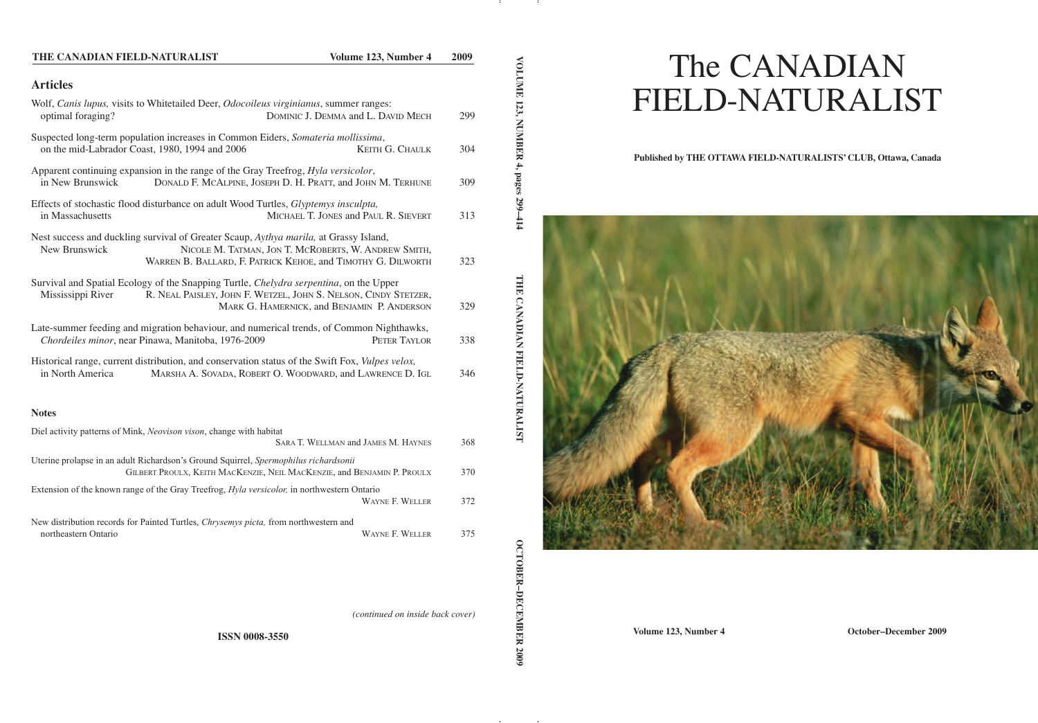| THE CANADIAN FIELD-NATURALIST                                                                                                                                   | Volume 123, Number 4                                                                                                 | 2009 |
|-----------------------------------------------------------------------------------------------------------------------------------------------------------------|----------------------------------------------------------------------------------------------------------------------|------|
| <b>Articles</b>                                                                                                                                                 |                                                                                                                      |      |
| Wolf, Canis lupus, visits to Whitetailed Deer, Odocoileus virginianus, summer ranges:<br>optimal foraging?                                                      | DOMINIC J. DEMMA and L. DAVID MECH                                                                                   | 299  |
| Suspected long-term population increases in Common Eiders, Somateria mollissima,<br>on the mid-Labrador Coast, 1980, 1994 and 2006                              | KEITH G. CHAULK                                                                                                      | 304  |
| Apparent continuing expansion in the range of the Gray Treefrog, Hyla versicolor,<br>in New Brunswick                                                           | DONALD F. MCALPINE, JOSEPH D. H. PRATT, and JOHN M. TERHUNE                                                          | 309  |
| Effects of stochastic flood disturbance on adult Wood Turtles, Glyptemys insculpta,<br>in Massachusetts                                                         | MICHAEL T. JONES and PAUL R. SIEVERT                                                                                 | 313  |
| Nest success and duckling survival of Greater Scaup, Aythya marila, at Grassy Island,<br>New Brunswick                                                          | NICOLE M. TATMAN, JON T. MCROBERTS, W. ANDREW SMITH,<br>WARREN B. BALLARD, F. PATRICK KEHOE, and TIMOTHY G. DILWORTH | 323  |
| Survival and Spatial Ecology of the Snapping Turtle, Chelydra serpentina, on the Upper<br>Mississippi River                                                     | R. NEAL PAISLEY, JOHN F. WETZEL, JOHN S. NELSON, CINDY STETZER,<br>MARK G. HAMERNICK, and BENJAMIN P. ANDERSON       | 329  |
| Late-summer feeding and migration behaviour, and numerical trends, of Common Nighthawks,<br>Chordeiles minor, near Pinawa, Manitoba, 1976-2009                  | PETER TAYLOR                                                                                                         | 338  |
| Historical range, current distribution, and conservation status of the Swift Fox, Vulpes velox,<br>in North America                                             | MARSHA A. SOVADA, ROBERT O. WOODWARD, and LAWRENCE D. IGL                                                            | 346  |
| <b>Notes</b>                                                                                                                                                    |                                                                                                                      |      |
| Diel activity patterns of Mink, Neovison vison, change with habitat                                                                                             | SARA T. WELLMAN and JAMES M. HAYNES                                                                                  | 368  |
| Uterine prolapse in an adult Richardson's Ground Squirrel, Spermophilus richardsonii<br>GILBERT PROULX, KEITH MACKENZIE, NEIL MACKENZIE, and BENJAMIN P. PROULX |                                                                                                                      | 370  |
| Extension of the known range of the Gray Treefrog, Hyla versicolor, in northwestern Ontario                                                                     | WAYNE F. WELLER                                                                                                      | 372  |
| New distribution records for Painted Turtles, Chrysemys picta, from northwestern and<br>northeastern Ontario                                                    | WAYNE F. WELLER                                                                                                      | 375  |

**OCTOBER-DECEMBER 2009**

**VOLUME** 

**123,**

**NABERR** 

**4, pages**

**299–414**

**T H E**

**C A N A DIA N**

**FIE L D-N**

**AT U R A LIST**

*(continued on inside back cover)*

# The CANADIAN FIELD-NATURALIST

## **Published by THE OTTAWA FIELD-NATURALISTS' CLUB, Ottawa, Canada**



**Volume 123, Number 4 October–December 2009**

**ISSN 0008-3550**